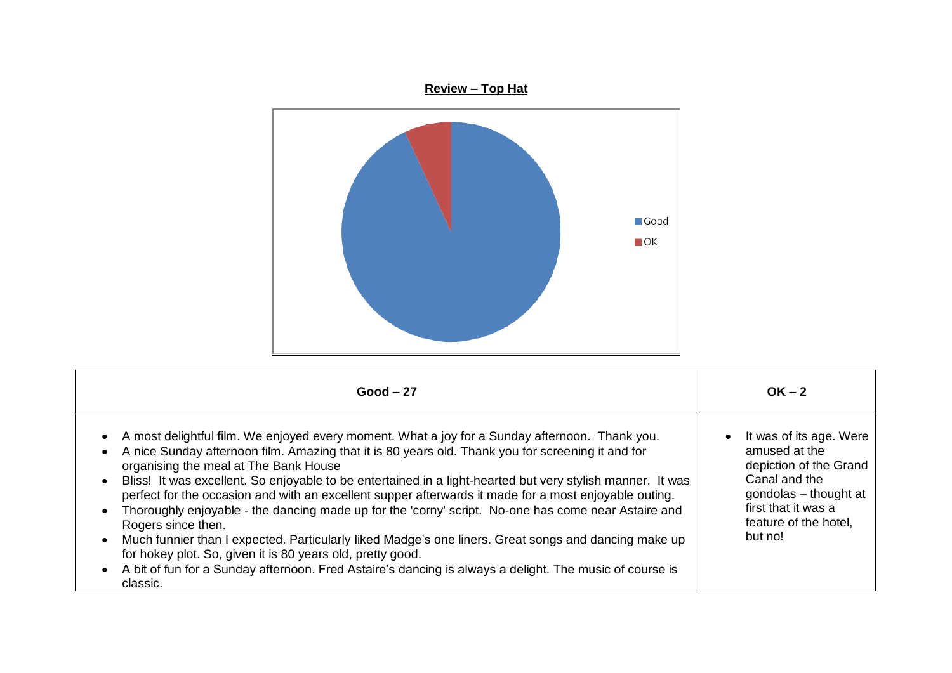

| $Good - 27$                                                                                                                                                                                                                                                                                                                                                                                                                                                                                                                                                                                                                                                                                                                                                                                                                                                                                                                                                    | $OK - 2$                                                                                                                                                                |
|----------------------------------------------------------------------------------------------------------------------------------------------------------------------------------------------------------------------------------------------------------------------------------------------------------------------------------------------------------------------------------------------------------------------------------------------------------------------------------------------------------------------------------------------------------------------------------------------------------------------------------------------------------------------------------------------------------------------------------------------------------------------------------------------------------------------------------------------------------------------------------------------------------------------------------------------------------------|-------------------------------------------------------------------------------------------------------------------------------------------------------------------------|
| A most delightful film. We enjoyed every moment. What a joy for a Sunday afternoon. Thank you.<br>A nice Sunday afternoon film. Amazing that it is 80 years old. Thank you for screening it and for<br>$\bullet$<br>organising the meal at The Bank House<br>Bliss! It was excellent. So enjoyable to be entertained in a light-hearted but very stylish manner. It was<br>$\bullet$<br>perfect for the occasion and with an excellent supper afterwards it made for a most enjoyable outing.<br>Thoroughly enjoyable - the dancing made up for the 'corny' script. No-one has come near Astaire and<br>$\bullet$<br>Rogers since then.<br>Much funnier than I expected. Particularly liked Madge's one liners. Great songs and dancing make up<br>$\bullet$<br>for hokey plot. So, given it is 80 years old, pretty good.<br>A bit of fun for a Sunday afternoon. Fred Astaire's dancing is always a delight. The music of course is<br>$\bullet$<br>classic. | It was of its age. Were<br>amused at the<br>depiction of the Grand<br>Canal and the<br>gondolas - thought at<br>first that it was a<br>feature of the hotel.<br>but no! |